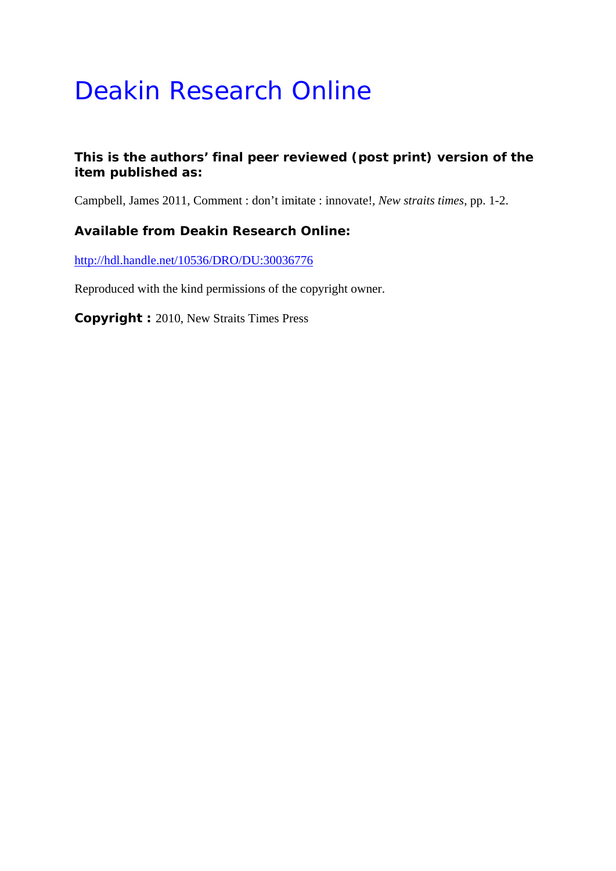# Deakin Research Online

### **This is the authors' final peer reviewed (post print) version of the item published as:**

Campbell, James 2011, Comment : don't imitate : innovate!*, New straits times*, pp. 1-2.

### **Available from Deakin Research Online:**

http://hdl.handle.net/10536/DRO/DU:30036776

Reproduced with the kind permissions of the copyright owner.

**Copyright :** 2010, New Straits Times Press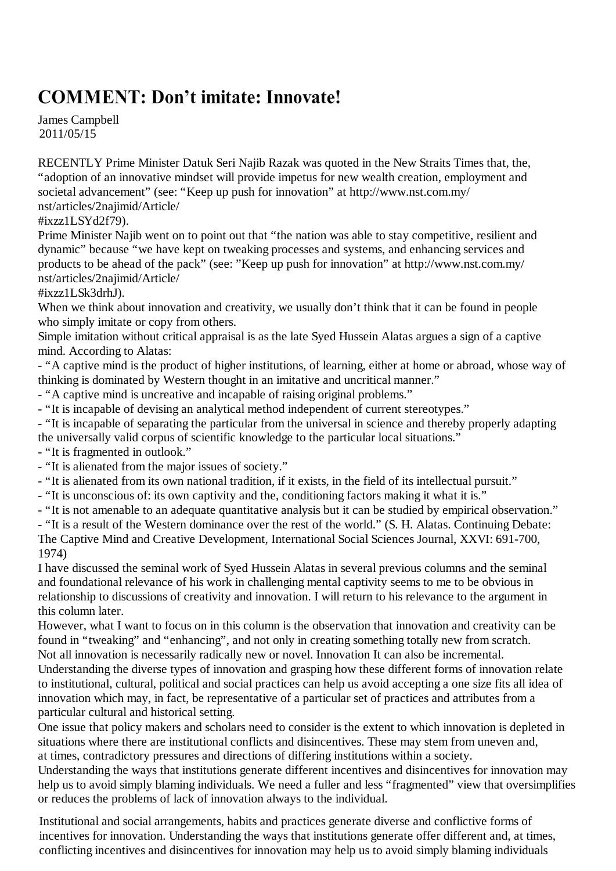## **COMMENT: Don't imitate: Innovate!**

James Campbell 2011/05/15

RECENTLY Prime Minister Datuk Seri Najib Razak was quoted in the New Straits Times that, the, "adoption of an innovative mindset will provide impetus for new wealth creation, employment and societal advancement" (see: "Keep up push for innovation" at http://www.nst.com.my/ nst/articles/2najimid/Article/

#### #ixzz1LSYd2f79).

Prime Minister Najib went on to point out that "the nation was able to stay competitive, resilient and dynamic" because "we have kept on tweaking processes and systems, and enhancing services and products to be ahead of the pack" (see: "Keep up push for innovation" at http://www.nst.com.my/ nst/articles/2najimid/Article/

#ixzz1LSk3drhJ).

When we think about innovation and creativity, we usually don't think that it can be found in people who simply imitate or copy from others.

Simple imitation without critical appraisal is as the late Syed Hussein Alatas argues a sign of a captive mind. According to Alatas:

- "A captive mind is the product of higher institutions, of learning, either at home or abroad, whose way of thinking is dominated by Western thought in an imitative and uncritical manner."

- "A captive mind is uncreative and incapable of raising original problems."

- "It is incapable of devising an analytical method independent of current stereotypes."

- "It is incapable of separating the particular from the universal in science and thereby properly adapting the universally valid corpus of scientific knowledge to the particular local situations."

- "It is fragmented in outlook."

- "It is alienated from the major issues of society."

- "It is alienated from its own national tradition, if it exists, in the field of its intellectual pursuit."

- "It is unconscious of: its own captivity and the, conditioning factors making it what it is."

- "It is not amenable to an adequate quantitative analysis but it can be studied by empirical observation."

- "It is a result of the Western dominance over the rest of the world." (S. H. Alatas. Continuing Debate: The Captive Mind and Creative Development, International Social Sciences Journal, XXVI: 691-700, 1974)

I have discussed the seminal work of Syed Hussein Alatas in several previous columns and the seminal and foundational relevance of his work in challenging mental captivity seems to me to be obvious in relationship to discussions of creativity and innovation. I will return to his relevance to the argument in this column later.

However, what I want to focus on in this column is the observation that innovation and creativity can be found in "tweaking" and "enhancing", and not only in creating something totally new from scratch. Not all innovation is necessarily radically new or novel. Innovation It can also be incremental.

Understanding the diverse types of innovation and grasping how these different forms of innovation relate to institutional, cultural, political and social practices can help us avoid accepting a one size fits all idea of innovation which may, in fact, be representative of a particular set of practices and attributes from a particular cultural and historical setting.

One issue that policy makers and scholars need to consider is the extent to which innovation is depleted in situations where there are institutional conflicts and disincentives. These may stem from uneven and, at times, contradictory pressures and directions of differing institutions within a society.

Understanding the ways that institutions generate different incentives and disincentives for innovation may help us to avoid simply blaming individuals. We need a fuller and less "fragmented" view that oversimplifies or reduces the problems of lack of innovation always to the individual.

Institutional and social arrangements, habits and practices generate diverse and conflictive forms of incentives for innovation. Understanding the ways that institutions generate offer different and, at times, conflicting incentives and disincentives for innovation may help us to avoid simply blaming individuals